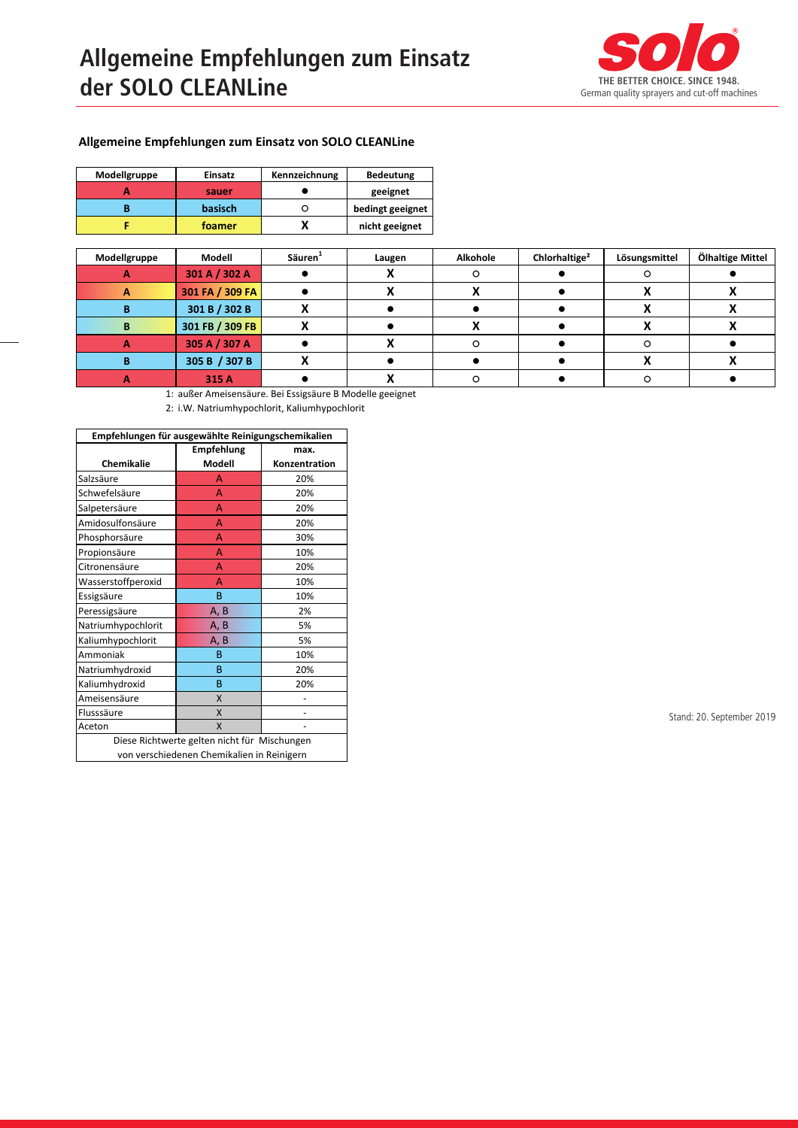## **Allgemeine Empfehlungen zum Einsatz der SOLO CLEANLine**



## **Allgemeine Empfehlungen zum Einsatz von SOLO CLEANLine**

| Modellgruppe | Einsatz        | Kennzeichnung |                  |
|--------------|----------------|---------------|------------------|
|              | sauer          |               | geeignet         |
|              | <b>basisch</b> |               | bedingt geeignet |
|              | foamer         |               | nicht geeignet   |

| Modellgruppe | Modell          | Säuren <sup>1</sup> | Laugen | Alkohole | Chlorhaltige <sup>2</sup> | Lösungsmittel | Ölhaltige Mittel |
|--------------|-----------------|---------------------|--------|----------|---------------------------|---------------|------------------|
|              | 301 A / 302 A   |                     |        |          |                           |               |                  |
|              | 301 FA / 309 FA |                     |        |          |                           |               |                  |
|              | 301 B / 302 B   |                     |        |          |                           |               |                  |
|              | 301 FB / 309 FB |                     |        |          |                           |               |                  |
|              | 305 A / 307 A   |                     |        |          |                           |               |                  |
|              | 305 B / 307 B   |                     |        |          |                           |               |                  |
|              | 315 A           |                     |        |          |                           |               |                  |

1: außer Ameisensäure. Bei Essigsäure B Modelle geeignet

2: i.W. Natriumhypochlorit, Kaliumhypochlorit

| Empfehlungen für ausgewählte Reinigungschemikalien |                   |               |  |  |  |
|----------------------------------------------------|-------------------|---------------|--|--|--|
|                                                    | <b>Empfehlung</b> | max.          |  |  |  |
| Chemikalie                                         | Modell            | Konzentration |  |  |  |
| Salzsäure                                          | A                 | 20%           |  |  |  |
| Schwefelsäure                                      | A                 | 20%           |  |  |  |
| Salpetersäure                                      | A                 | 20%           |  |  |  |
| Amidosulfonsäure                                   | A                 | 20%           |  |  |  |
| Phosphorsäure                                      | A                 | 30%           |  |  |  |
| Propionsäure                                       | А                 | 10%           |  |  |  |
| Citronensäure                                      | A                 | 20%           |  |  |  |
| Wasserstoffperoxid                                 | A                 | 10%           |  |  |  |
| Essigsäure                                         | B                 | 10%           |  |  |  |
| Peressigsäure                                      | A, B              | 2%            |  |  |  |
| Natriumhypochlorit                                 | A, B              | 5%            |  |  |  |
| Kaliumhypochlorit                                  | A, B              | 5%            |  |  |  |
| Ammoniak                                           | B                 | 10%           |  |  |  |
| Natriumhydroxid                                    | B                 | 20%           |  |  |  |
| Kaliumhydroxid                                     | B                 | 20%           |  |  |  |
| Ameisensäure                                       | X                 |               |  |  |  |
| Flusssäure                                         | X                 |               |  |  |  |
| Aceton                                             | X                 |               |  |  |  |
| Diese Richtwerte gelten nicht für Mischungen       |                   |               |  |  |  |
| von verschiedenen Chemikalien in Reinigern         |                   |               |  |  |  |

Stand: 20. September 2019